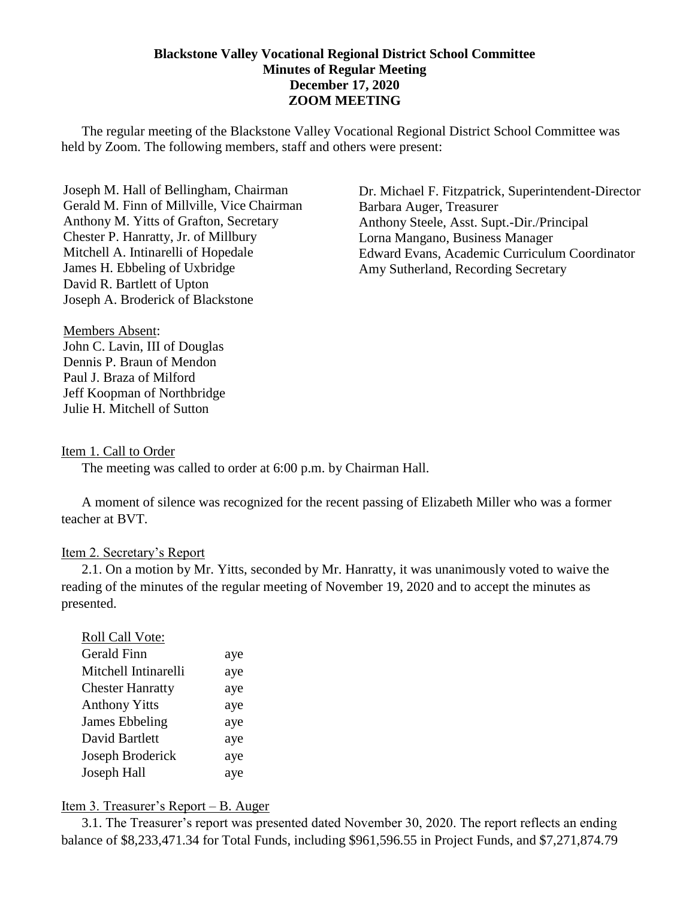### **Blackstone Valley Vocational Regional District School Committee Minutes of Regular Meeting December 17, 2020 ZOOM MEETING**

The regular meeting of the Blackstone Valley Vocational Regional District School Committee was held by Zoom. The following members, staff and others were present:

Joseph M. Hall of Bellingham, Chairman Gerald M. Finn of Millville, Vice Chairman Anthony M. Yitts of Grafton, Secretary Chester P. Hanratty, Jr. of Millbury Mitchell A. Intinarelli of Hopedale James H. Ebbeling of Uxbridge David R. Bartlett of Upton Joseph A. Broderick of Blackstone

Dr. Michael F. Fitzpatrick, Superintendent-Director Barbara Auger, Treasurer Anthony Steele, Asst. Supt.-Dir./Principal Lorna Mangano, Business Manager Edward Evans, Academic Curriculum Coordinator Amy Sutherland, Recording Secretary

Members Absent: John C. Lavin, III of Douglas Dennis P. Braun of Mendon Paul J. Braza of Milford Jeff Koopman of Northbridge Julie H. Mitchell of Sutton

#### Item 1. Call to Order

The meeting was called to order at 6:00 p.m. by Chairman Hall.

A moment of silence was recognized for the recent passing of Elizabeth Miller who was a former teacher at BVT.

#### Item 2. Secretary's Report

2.1. On a motion by Mr. Yitts, seconded by Mr. Hanratty, it was unanimously voted to waive the reading of the minutes of the regular meeting of November 19, 2020 and to accept the minutes as presented.

| Roll Call Vote:         |     |
|-------------------------|-----|
| Gerald Finn             | aye |
| Mitchell Intinarelli    | aye |
| <b>Chester Hanratty</b> | aye |
| <b>Anthony Yitts</b>    | aye |
| James Ebbeling          | aye |
| David Bartlett          | aye |
| Joseph Broderick        | aye |
| Joseph Hall             | aye |

#### Item 3. Treasurer's Report – B. Auger

3.1. The Treasurer's report was presented dated November 30, 2020. The report reflects an ending balance of \$8,233,471.34 for Total Funds, including \$961,596.55 in Project Funds, and \$7,271,874.79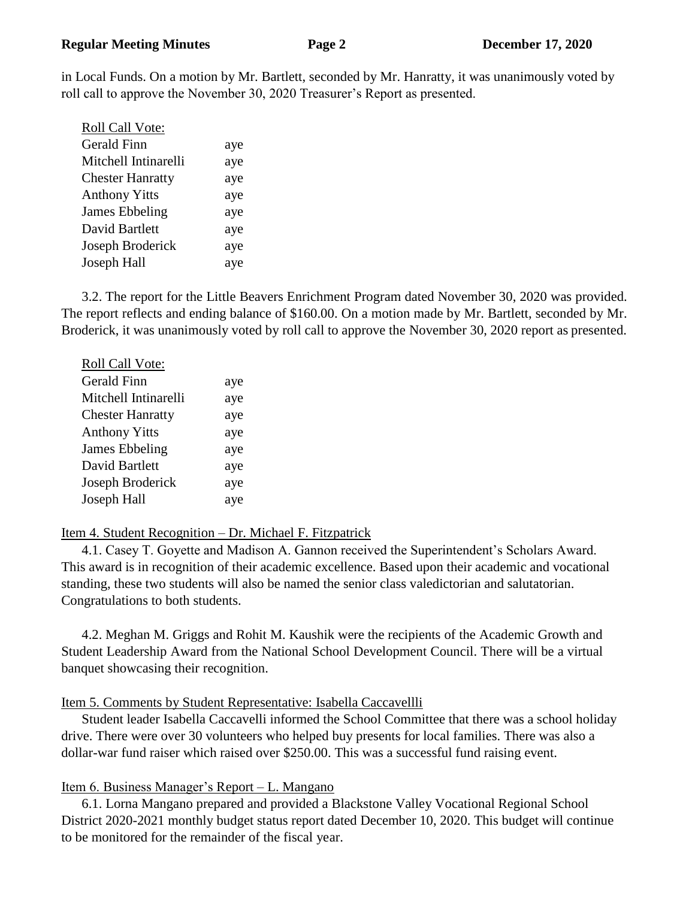in Local Funds. On a motion by Mr. Bartlett, seconded by Mr. Hanratty, it was unanimously voted by roll call to approve the November 30, 2020 Treasurer's Report as presented.

| Roll Call Vote:         |     |
|-------------------------|-----|
| Gerald Finn             | aye |
| Mitchell Intinarelli    | aye |
| <b>Chester Hanratty</b> | aye |
| <b>Anthony Yitts</b>    | aye |
| James Ebbeling          | aye |
| David Bartlett          | aye |
| Joseph Broderick        | aye |
| Joseph Hall             | aye |
|                         |     |

3.2. The report for the Little Beavers Enrichment Program dated November 30, 2020 was provided. The report reflects and ending balance of \$160.00. On a motion made by Mr. Bartlett, seconded by Mr. Broderick, it was unanimously voted by roll call to approve the November 30, 2020 report as presented.

| Roll Call Vote:         |     |
|-------------------------|-----|
| <b>Gerald Finn</b>      | aye |
| Mitchell Intinarelli    | aye |
| <b>Chester Hanratty</b> | aye |
| <b>Anthony Yitts</b>    | aye |
| James Ebbeling          | aye |
| David Bartlett          | aye |
| Joseph Broderick        | aye |
| Joseph Hall             | aye |

## Item 4. Student Recognition – Dr. Michael F. Fitzpatrick

4.1. Casey T. Goyette and Madison A. Gannon received the Superintendent's Scholars Award. This award is in recognition of their academic excellence. Based upon their academic and vocational standing, these two students will also be named the senior class valedictorian and salutatorian. Congratulations to both students.

4.2. Meghan M. Griggs and Rohit M. Kaushik were the recipients of the Academic Growth and Student Leadership Award from the National School Development Council. There will be a virtual banquet showcasing their recognition.

## Item 5. Comments by Student Representative: Isabella Caccavellli

Student leader Isabella Caccavelli informed the School Committee that there was a school holiday drive. There were over 30 volunteers who helped buy presents for local families. There was also a dollar-war fund raiser which raised over \$250.00. This was a successful fund raising event.

## Item 6. Business Manager's Report – L. Mangano

6.1. Lorna Mangano prepared and provided a Blackstone Valley Vocational Regional School District 2020-2021 monthly budget status report dated December 10, 2020. This budget will continue to be monitored for the remainder of the fiscal year.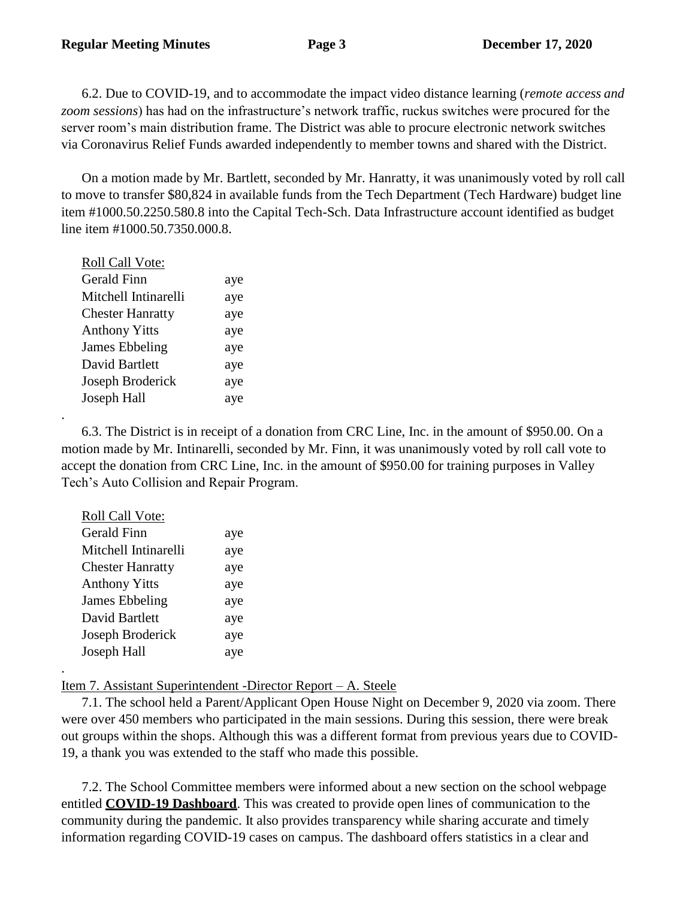6.2. Due to COVID-19, and to accommodate the impact video distance learning (*remote access and zoom sessions*) has had on the infrastructure's network traffic, ruckus switches were procured for the server room's main distribution frame. The District was able to procure electronic network switches via Coronavirus Relief Funds awarded independently to member towns and shared with the District.

On a motion made by Mr. Bartlett, seconded by Mr. Hanratty, it was unanimously voted by roll call to move to transfer \$80,824 in available funds from the Tech Department (Tech Hardware) budget line item #1000.50.2250.580.8 into the Capital Tech-Sch. Data Infrastructure account identified as budget line item #1000.50.7350.000.8.

| Roll Call Vote:         |     |
|-------------------------|-----|
| <b>Gerald Finn</b>      | aye |
| Mitchell Intinarelli    | aye |
| <b>Chester Hanratty</b> | aye |
| <b>Anthony Yitts</b>    | aye |
| <b>James Ebbeling</b>   | aye |
| David Bartlett          | aye |
| Joseph Broderick        | aye |
| Joseph Hall             | aye |

.

.

6.3. The District is in receipt of a donation from CRC Line, Inc. in the amount of \$950.00. On a motion made by Mr. Intinarelli, seconded by Mr. Finn, it was unanimously voted by roll call vote to accept the donation from CRC Line, Inc. in the amount of \$950.00 for training purposes in Valley Tech's Auto Collision and Repair Program.

| <b>Roll Call Vote:</b>  |     |
|-------------------------|-----|
| <b>Gerald Finn</b>      | aye |
| Mitchell Intinarelli    | aye |
| <b>Chester Hanratty</b> | aye |
| <b>Anthony Yitts</b>    | aye |
| James Ebbeling          | aye |
| David Bartlett          | aye |
| Joseph Broderick        | aye |
| Joseph Hall             | aye |

Item 7. Assistant Superintendent -Director Report – A. Steele

7.1. The school held a Parent/Applicant Open House Night on December 9, 2020 via zoom. There were over 450 members who participated in the main sessions. During this session, there were break out groups within the shops. Although this was a different format from previous years due to COVID-19, a thank you was extended to the staff who made this possible.

7.2. The School Committee members were informed about a new section on the school webpage entitled **COVID-19 Dashboard**. This was created to provide open lines of communication to the community during the pandemic. It also provides transparency while sharing accurate and timely information regarding COVID-19 cases on campus. The dashboard offers statistics in a clear and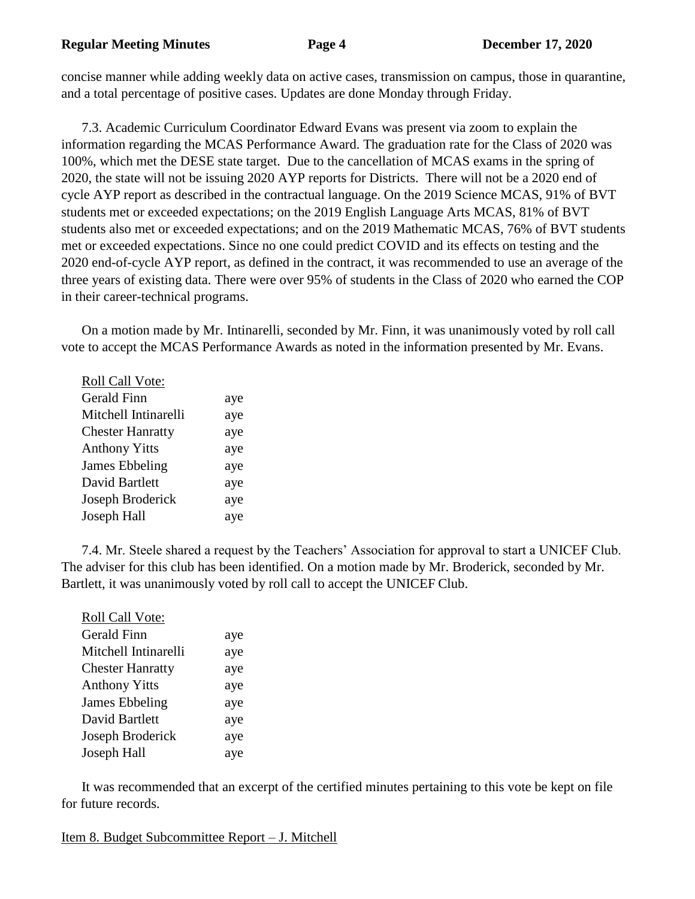concise manner while adding weekly data on active cases, transmission on campus, those in quarantine, and a total percentage of positive cases. Updates are done Monday through Friday.

7.3. Academic Curriculum Coordinator Edward Evans was present via zoom to explain the information regarding the MCAS Performance Award. The graduation rate for the Class of 2020 was 100%, which met the DESE state target. Due to the cancellation of MCAS exams in the spring of 2020, the state will not be issuing 2020 AYP reports for Districts. There will not be a 2020 end of cycle AYP report as described in the contractual language. On the 2019 Science MCAS, 91% of BVT students met or exceeded expectations; on the 2019 English Language Arts MCAS, 81% of BVT students also met or exceeded expectations; and on the 2019 Mathematic MCAS, 76% of BVT students met or exceeded expectations. Since no one could predict COVID and its effects on testing and the 2020 end-of-cycle AYP report, as defined in the contract, it was recommended to use an average of the three years of existing data. There were over 95% of students in the Class of 2020 who earned the COP in their career-technical programs.

On a motion made by Mr. Intinarelli, seconded by Mr. Finn, it was unanimously voted by roll call vote to accept the MCAS Performance Awards as noted in the information presented by Mr. Evans.

| <b>Roll Call Vote:</b>  |     |
|-------------------------|-----|
| <b>Gerald Finn</b>      | aye |
| Mitchell Intinarelli    | aye |
| <b>Chester Hanratty</b> | aye |
| <b>Anthony Yitts</b>    | aye |
| James Ebbeling          | aye |
| David Bartlett          | aye |
| Joseph Broderick        | aye |
| Joseph Hall             | aye |

7.4. Mr. Steele shared a request by the Teachers' Association for approval to start a UNICEF Club. The adviser for this club has been identified. On a motion made by Mr. Broderick, seconded by Mr. Bartlett, it was unanimously voted by roll call to accept the UNICEF Club.

| Roll Call Vote:         |     |
|-------------------------|-----|
| Gerald Finn             | aye |
| Mitchell Intinarelli    | aye |
| <b>Chester Hanratty</b> | aye |
| <b>Anthony Yitts</b>    | aye |
| James Ebbeling          | aye |
| David Bartlett          | aye |
| Joseph Broderick        | aye |
| Joseph Hall             | aye |

It was recommended that an excerpt of the certified minutes pertaining to this vote be kept on file for future records.

Item 8. Budget Subcommittee Report – J. Mitchell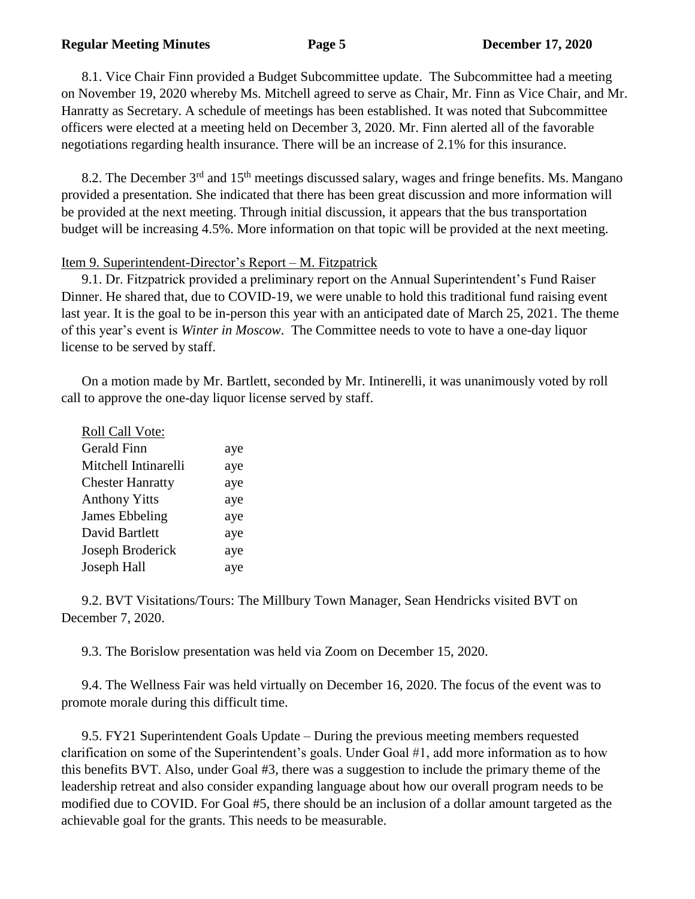#### **Regular Meeting Minutes Page 5 December 17, 2020**

8.1. Vice Chair Finn provided a Budget Subcommittee update. The Subcommittee had a meeting on November 19, 2020 whereby Ms. Mitchell agreed to serve as Chair, Mr. Finn as Vice Chair, and Mr. Hanratty as Secretary. A schedule of meetings has been established. It was noted that Subcommittee officers were elected at a meeting held on December 3, 2020. Mr. Finn alerted all of the favorable negotiations regarding health insurance. There will be an increase of 2.1% for this insurance.

8.2. The December 3<sup>rd</sup> and 15<sup>th</sup> meetings discussed salary, wages and fringe benefits. Ms. Mangano provided a presentation. She indicated that there has been great discussion and more information will be provided at the next meeting. Through initial discussion, it appears that the bus transportation budget will be increasing 4.5%. More information on that topic will be provided at the next meeting.

### Item 9. Superintendent-Director's Report – M. Fitzpatrick

9.1. Dr. Fitzpatrick provided a preliminary report on the Annual Superintendent's Fund Raiser Dinner. He shared that, due to COVID-19, we were unable to hold this traditional fund raising event last year. It is the goal to be in-person this year with an anticipated date of March 25, 2021. The theme of this year's event is *Winter in Moscow*. The Committee needs to vote to have a one-day liquor license to be served by staff.

On a motion made by Mr. Bartlett, seconded by Mr. Intinerelli, it was unanimously voted by roll call to approve the one-day liquor license served by staff.

| aye |
|-----|
| aye |
| aye |
| aye |
| aye |
| aye |
| aye |
| aye |
|     |

9.2. BVT Visitations/Tours: The Millbury Town Manager, Sean Hendricks visited BVT on December 7, 2020.

9.3. The Borislow presentation was held via Zoom on December 15, 2020.

9.4. The Wellness Fair was held virtually on December 16, 2020. The focus of the event was to promote morale during this difficult time.

9.5. FY21 Superintendent Goals Update – During the previous meeting members requested clarification on some of the Superintendent's goals. Under Goal #1, add more information as to how this benefits BVT. Also, under Goal #3, there was a suggestion to include the primary theme of the leadership retreat and also consider expanding language about how our overall program needs to be modified due to COVID. For Goal #5, there should be an inclusion of a dollar amount targeted as the achievable goal for the grants. This needs to be measurable.